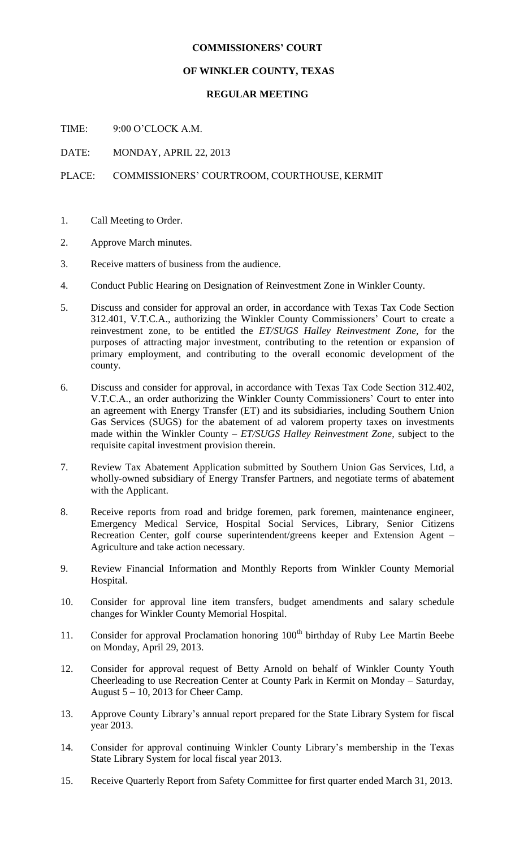## **COMMISSIONERS' COURT**

## **OF WINKLER COUNTY, TEXAS**

## **REGULAR MEETING**

TIME: 9:00 O'CLOCK A.M.

DATE: MONDAY, APRIL 22, 2013

PLACE: COMMISSIONERS' COURTROOM, COURTHOUSE, KERMIT

- 1. Call Meeting to Order.
- 2. Approve March minutes.
- 3. Receive matters of business from the audience.
- 4. Conduct Public Hearing on Designation of Reinvestment Zone in Winkler County.
- 5. Discuss and consider for approval an order, in accordance with Texas Tax Code Section 312.401, V.T.C.A., authorizing the Winkler County Commissioners' Court to create a reinvestment zone, to be entitled the *ET/SUGS Halley Reinvestment Zone,* for the purposes of attracting major investment, contributing to the retention or expansion of primary employment, and contributing to the overall economic development of the county.
- 6. Discuss and consider for approval, in accordance with Texas Tax Code Section 312.402, V.T.C.A., an order authorizing the Winkler County Commissioners' Court to enter into an agreement with Energy Transfer (ET) and its subsidiaries, including Southern Union Gas Services (SUGS) for the abatement of ad valorem property taxes on investments made within the Winkler County – *ET/SUGS Halley Reinvestment Zone,* subject to the requisite capital investment provision therein.
- 7. Review Tax Abatement Application submitted by Southern Union Gas Services, Ltd, a wholly-owned subsidiary of Energy Transfer Partners, and negotiate terms of abatement with the Applicant.
- 8. Receive reports from road and bridge foremen, park foremen, maintenance engineer, Emergency Medical Service, Hospital Social Services, Library, Senior Citizens Recreation Center, golf course superintendent/greens keeper and Extension Agent – Agriculture and take action necessary.
- 9. Review Financial Information and Monthly Reports from Winkler County Memorial Hospital.
- 10. Consider for approval line item transfers, budget amendments and salary schedule changes for Winkler County Memorial Hospital.
- 11. Consider for approval Proclamation honoring 100<sup>th</sup> birthday of Ruby Lee Martin Beebe on Monday, April 29, 2013.
- 12. Consider for approval request of Betty Arnold on behalf of Winkler County Youth Cheerleading to use Recreation Center at County Park in Kermit on Monday – Saturday, August 5 – 10, 2013 for Cheer Camp.
- 13. Approve County Library's annual report prepared for the State Library System for fiscal year 2013.
- 14. Consider for approval continuing Winkler County Library's membership in the Texas State Library System for local fiscal year 2013.
- 15. Receive Quarterly Report from Safety Committee for first quarter ended March 31, 2013.